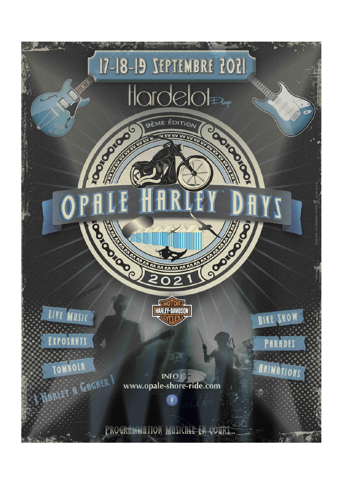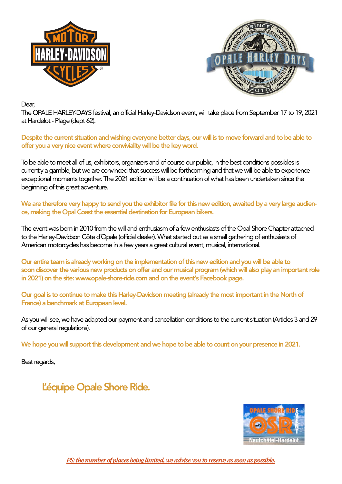



Dear,

The OPALE HARLEY-DAYS festival, an official Harley-Davidson event, will take place from September 17 to 19, 2021 at Hardelot - Plage (dept 62).

Despite the current situation and wishing everyone better days, our will is to move forward and to be able to offer you a very nice event where conviviality will be the key word.

To be able to meet all of us, exhibitors, organizers and of course our public, in the best conditions possibles is currently a gamble, but we are convinced that success will be forthcoming and that we will be able to experience exceptional moments together. The 2021 edition will be a continuation of what has been undertaken since the beginning of this great adventure.

We are therefore very happy to send you the exhibitor file for this new edition, awaited by a very large audience, making the Opal Coast the essential destination for European bikers.

The event was born in 2010 from the will and enthusiasm of a few enthusiasts of the Opal Shore Chapter attached to the Harley-Davidson Côte d´Opale (official dealer). What started out as a small gathering of enthusiasts of American motorcycles has become in a few years a great cultural event, musical, international.

Our entire team is already working on the implementation of this new edition and you will be able to soon discover the various new products on offer and our musical program (which will also play an important role in 2021) on the site: www.opale-shore-ride.com and on the event's Facebook page.

Our goal is to continue to make this Harley-Davidson meeting (already the most important in the North of France) a benchmark at European level.

As you will see, we have adapted our payment and cancellation conditions to the current situation (Articles 3 and 29 of our general regulations).

We hope you will support this development and we hope to be able to count on your presence in 2021.

Best regards,

L'équipe Opale Shore Ride.



*PS: the number of places being limited, we advise you to reserve as soon as possible.*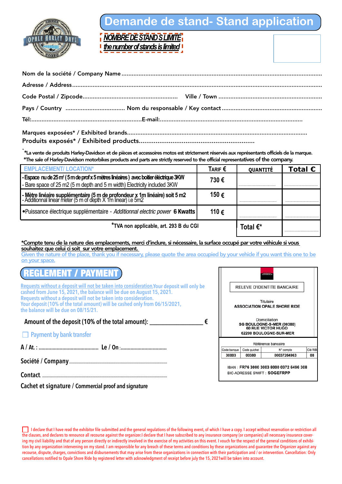

# **Demande de stand- Stand application**

*NOMBRE DE STAND S LIMITÉ the number of stands is limited*

Produits exposés\* / Exhibited products..............................................................

. \*La vente de produits Harley-Davidson et de pièces et accessoires motos est strictement réservés aux représentants officiels de la marque. \*The sale of Harley-Davidson motorbikes products and parts are strictly reserved to the official representatives of the company.

| <b>EMPLACEMENT/ LOCATION*</b>                                                                                                                                   | TARIF $\epsilon$ | <b>QUANTITÉ</b>    | Total $\epsilon$ |
|-----------------------------------------------------------------------------------------------------------------------------------------------------------------|------------------|--------------------|------------------|
| -Espace nu de 25 m² (5 m de prof x 5 mètres linéaires ) avec boitier éléctrique 3KW<br>- Bare space of 25 m2 (5 m depth and 5 m width) Electricity included 3KW | 730€             |                    |                  |
| - Mètre linéaire supplémentaire (5 m de profondeur x 1m linéaire) soit 5 m2<br> - Additionnal linear meter (5 m of depth X 1m linear) i.e 5m2                   | 150€             |                    |                  |
| • Puissance électrique supplémentaire - Additionnal electric power 6 Kwatts                                                                                     | 110€             |                    |                  |
| *TVA non applicable, art. 293 B du CGI                                                                                                                          |                  | Total $\epsilon^*$ |                  |

### \*Compte tenu de la nature des emplacements, merci d'inclure, si nécessaire, la surface occupé par votre véhicule si vous souhaitez que celui ci soit sur votre emplacement.

Given the nature of the place, thank you if necessary, please quote the area occupied by your vehicle if you want this one to be on your space.

# **REGLEMENT / PAYMENT**

**Requests without a deposit will not be taken into consideration.Your deposit will only be cashed from June 15, 2021, the balance will be due on August 15, 2021. Requests without a deposit will not be taken into consideration. Your deposit (10% of the total amount) will be cashed only from 06/15/2021, the balance will be due on 08/15/21.**

Amount of the deposit (10% of the total amount):  $\epsilon$ 

### **Payment by bank transfer**

**A / At. : ........................................... Le / On :.................................**

**Société / Company.......................................................................................** 

**Contact. ...............................................................................................................**

**Cachet et signature / Commercial proof and signature**

|             |              | <b>GENERALE</b>                                                                                                                                |         |
|-------------|--------------|------------------------------------------------------------------------------------------------------------------------------------------------|---------|
|             |              | <b>RELEVE D'IDENTITE BANCAIRE</b>                                                                                                              |         |
|             |              | Titulaire<br><b>ASSOCIATION OPALE SHORE RIDE</b><br>Domiciliation<br>SG BOULOGNE-S-MER (00380)<br>60 RUE VICTOR HUGO<br>62200 BOULOGNE-SUR-MER |         |
|             |              | Référence bancaire                                                                                                                             |         |
| Code banque | Code guichet | N° compte                                                                                                                                      | Clé RIB |
| 30003       | 00380        | 00037264963                                                                                                                                    | 08      |
|             |              | IBAN: FR76 3000 3003 8000 0372 6496 308                                                                                                        |         |

I declare that I have read the exhibitor file submitted and the general regulations of the following event, of which I have a copy. I accept without reservation or restriction all the clauses, and declares to renounce all recourse against the organizer.I declare that I have subscribed to any insurance company (or companies) all necessary insurance covering my civil liability and that of any person directly or indirectly involved in the exercise of my activities on this event. I vouch for the respect of the general conditions of exhibition by any organization intervening on my stand. I am responsible for any breach of these terms and conditions by these organizations and quarantee the Organizer against any recourse, dispute, charges, convictions and disbursements that may arise from these organizations in connection with their participation and / or intervention. Cancellation: Only cancellations notified to Opale Shore Ride by registered letter with acknowledgment of receipt before july the 15, 2021will be taken into account.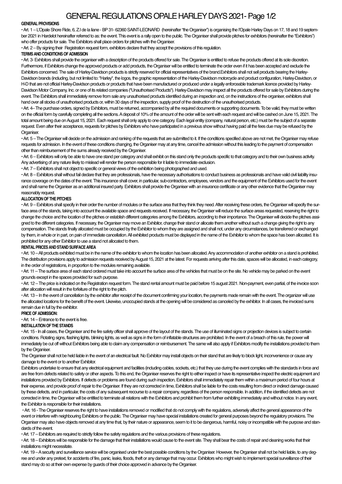## GENERAL REGULATIONS OPALE HARLEY DAYS 2021- Page 1/2

### **GENERAL PROVISIONS**

• Art. 1 - L'Opale Shore Ride, 6, Z.I de la liane - BP 31- 62360 SAINT-LEONARD (hereinafter "the Organiser") is organising the l'Opale Harley Days on 17, 18 and 19 september 2021 in Hardelot hereinafter referred to as: the event. This event is a rally open to the public. The Organiser shall provide pitches for exhibitors (hereinafter the "Exhibitors") who offer products for sale. The Exhibitors shall place orders for pitches with the Organiser.

• Art. 2 – By signing their Registration request form, exhibitors declare that they accept the provisions of this regulation.

### **TERMS AND CONDITIONS OF ADMISSION**

• Art. 3- Exhibitors shall provide the organiser with a description of the products offered for sale. The Organiser is entitled to refuse the products offered at its sole discretion. Furthermore, if Exhibitors change the approved products or add products, the Organiser will be entitled to terminate the order even if it has been accepted and exclude the Exhibitors concerned. The sale of Harley-Davidson products is strictly reserved for official representatives of the brand. Exhibitors shall not sell products bearing the Harley-Davidson brands (including, but not limited to: "Harley", the logos, the graphic representation of the Harley-Davidson motorcycle and product configuration, Harley-Davidson, or H-D that are not official Harley-Davidson products or products that have been manufactured or produced under a legally enforceable trademark licence provided by Harley-Davidson Motor Company, Inc. or one of its related companies ("Unauthorised Products"). Harley-Davidson may inspect all the products offered for sale by Exhibitors during the event. The Exhibitors shall immediately remove from sale any unauthorised products identified during an inspection and, on the instructions of the organiser, exhibitors shall hand over all stocks of unauthorised products or, within 30 days of the inspection, supply proof of the destruction of the unauthorised products.

• Art. 4– The purchase orders, signed by Exhibitors, must be returned, accompanied by all the required documents or supporting documents. To be valid, they must be written on the official form by carefully completing all the sections. A deposit of 10% of the amount of the order will be sent with each request and will be cashed on June 15, 2021. The total amount being due on August 15, 2021. Each request shall only apply to one category. Each legal entity (company, natural person, etc.) must be the subject of a separate request. Even after their acceptance, requests for pitches by Exhibitors who have participated in a previous show without having paid all the fees due may be refused by the Organiser.

• Art. 5 – The Organiser will decide on the admission and ranking of the requests that are submitted to it. If the conditions specified above are not met, the Organiser may refuse requests for admission. In the event of these conditions changing, the Organiser may at any time, cancel the admission without this leading to the payment of compensation other than reimbursement of the sums already received by the Organiser.

• Art. 6 – Exhibitors will only be able to have one stand per category and shall exhibit on this stand only the products specific to that category and to their own business activity. Any advertising of any nature likely to mislead will render the person responsible for it liable to immediate exclusion.

• Art. 7 – Exhibitors shall not object to specific or general views of the exhibition being photographed and used.

• Art. 8 – Exhibitors shall without fail declare that they are professionals, have the necessary authorisations to conduct business as professionals and have valid civil liability insurance coverage on the dates of the event. This insurance shall cover, in particular, sub-contractors, employees, vendors and the equipment of the Exhibitors used for the event and shall name the Organiser as an additional insured party. Exhibitors shall provide the Organiser with an insurance certificate or any other evidence that the Organiser may reasonably request.

### **ALLOCATION OF THE PITCHES**

• Art. 9 – Exhibitors shall specify in their order the number of modules or the surface area that they think they need. After receiving these orders, the Organiser will specify the surface area of the stands, taking into account the available space and requests received. If necessary, the Organiser will reduce the surface areas requested, reserving the right to change the choice and the location of the pitches or establish different categories among the Exhibitors, according to their importance. The Organiser will decide the pitches assigned to the different categories. If necessary, the Organiser may move an Exhibitor, change their stand or allocate them another without such a change giving the right to any compensation. The stands finally allocated must be occupied by the Exhibitor to whom they are assigned and shall not, under any circumstances, be transferred or exchanged by them, in whole or in part, on pain of immediate cancellation. All exhibited products must be displayed in the name of the Exhibitor to whom the space has been allocated. It is prohibited for any other Exhibitor to use a stand not allocated to them.

### **RENTAL PRICES AND STAND SURFACE AREA**

• Art. 10 – All products exhibited must be in the name of the exhibitor to whom the location has been allocated. Any accommodation of another exhibitor on a stand is prohibited. The distribution provisions apply to admission requests received by August 15, 2021 at the latest. For requests arriving after this date, spaces will be allocated, in each category, in the order of registrations, in proportion to the modules remaining available.

• Art. 11 – The surface area of each stand ordered must take into account the surface area of the vehicles that must be on the site. No vehicle may be parked on the event grounds except in the spaces provided for such purpose.

• Art. 12 – The price is indicated on the Registration request form. The stand rental amount must be paid before 15 august 2021. Non-payment, even partial, of the invoice soon after allocation will result in the forfeiture of the right to the pitch.

• Art. 13 – In the event of cancellation by the exhibitor after receipt of the document confirming your location, the payments made remain with the event. The organizer will use the allocated locations for the benefit of the event. Likewise, unoccupied stands at the opening will be considered as canceled by the exhibitor. In all cases, the invoiced sums remain due in full by the exhibitor.

### **PRICE OF ADMISSION:**

• Art. 14 – Entrance to the event is free.

### **INSTALLATION OF THE STANDS**

• Art. 15 - In all cases, the Organiser and the fire safety officer shall approve of the layout of the stands. The use of illuminated signs or projection devices is subject to certain conditions. Rotating signs, flashing lights, blinking lights, as well as signs in the form of inflatable structures are prohibited. In the event of a breach of this rule, the power will immediately be cut off without Exhibitors being able to claim any compensation or reimbursement. The same will also apply if Exhibitors modify the installations provided to them by the Organiser.

The Organiser shall not be held liable in the event of an electrical fault. No Exhibitor may install objects on their stand that are likely to block light, inconvenience or cause any damage to the event or to another Exhibitor.

Exhibitors undertake to ensure that any electrical equipment and facilities (including cables, sockets, etc.) that they use during the event complies with the standards in force and are free from defects related to safety or other aspects. To this end, the Organiser reserves the right to either inspect or have its representative inspect the electric equipment and installations provided by Exhibitors. If defects or problems are found during such inspection, Exhibitors shall immediately repair them within a maximum period of four hours at their expense, and provide proof of repair to the Organiser. If they are not corrected in time, Exhibitors shall be liable for the costs resulting from direct or indirect damage caused by these defects, and in particular, the costs of any subsequent recourse to a repair company, regardless of the person responsible. In addition, if the identified defects are not corrected in time, the Organiser will be entitled to terminate all relations with the Exhibitors and prohibit them from further exhibiting immediately and without notice. In any event, the Exhibitor is responsible for their installations.

• Art. 16 - The Organiser reserves the right to have installations removed or modified that do not comply with the regulations, adversely affect the general appearance of the event or interfere with neighbouring Exhibitors or the public. The Organiser may have special installations created for general purposes beyond the regulatory provisions. The Organiser may also have objects removed at any time that, by their nature or appearance, seem to it to be dangerous, harmful, noisy or incompatible with the purpose and standards of the event.

• Art. 17 – Exhibitors are required to strictly follow the safety regulations and the various provisions of these regulations.

• Art. 18 – Exhibitors will be responsible for the damage that their installations would cause to the event site. They shall bear the costs of repair and cleaning works that their installations might necessitate.

• Art. 19 – A security and surveillance service will be organised under the best possible conditions by the Organiser. However, the Organiser shall not be held liable, to any degree and under any pretext, for accidents of fire, panic, leaks, floods, theft or any damage that may occur. Exhibitors who might wish to implement special surveillance of their stand may do so at their own expense by guards of their choice approved in advance by the Organiser.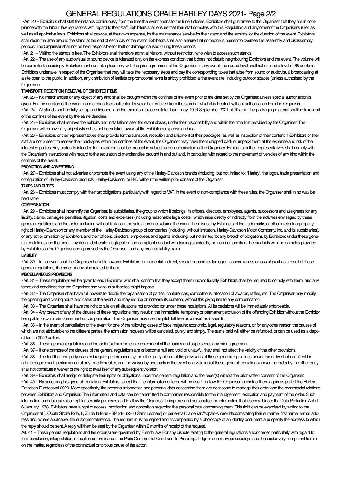# GENERAL REGULATIONS OPALE HARLEY DAYS 2021- Page 2/2

• Art. 20 – Exhibitors shall staff their stands continuously from the time the event opens to the time it closes. Exhibitors shall guarantee to the Organiser that they are in compliance with the labour law regulations with regard to their staff. Exhibitors shall ensure that their staff complies with this Regulation and any other of the Organiser's rules as well as all applicable laws. Exhibitors shall provide, at their own expense, for the maintenance service for their stand and the exhibits for the duration of the event. Exhibitors shall clean the area around the stand at the end of each day of the event. Exhibitors shall also ensure that someone is present to oversee the assembly and disassembly periods. The Organiser shall not be held responsible for theft or damage caused during these periods.

• Art. 21 – Visiting the stands is free. The Exhibitors shall therefore admit all visitors, without restriction, who wish to access such stands.

• Art. 22 – The use of any audiovisual or sound device is tolerated only on the express condition that it does not disturb neighbouring Exhibitors and the event. The volume will be controlled accordingly. Entertainment can take place only with the prior agreement of the Organiser. In any event, the sound level shall not exceed a level of 65 decibels. Exhibitors undertake in respect of the Organiser that they will take the necessary steps and pay the corresponding taxes that arise from sound or audiovisual broadcasting at a site open to the public. In addition, any distribution of leaflets or promotional items is strictly prohibited at the event site, including outdoor spaces (unless authorised by the Organiser).

### **TRANSPORT, RECEPTION, REMOVAL OF EXHIBITED ITEMS**

• Art. 23 – No merchandise or any object of any kind shall be brought within the confines of the event prior to the date set by the Organiser, unless special authorisation is given. For the duration of the event, no merchandise shall enter, leave or be removed from the stand at which it is located, without authorisation from the Organiser. • Art. 24 – All stands shall be fully set up and finished, and the exhibits in place no later than friday, 19 of September 2021 at 10 a.m. The packaging material shall be taken out of the confines of the event by the same deadline.

• Art. 25 – Exhibitors shall remove the exhibits and installations after the event closes, under their responsibility and within the time limit provided by the Organiser. The Organiser will remove any object which has not been taken away, at the Exhibitor's expense and risk.

• Art. 26 – Exhibitors or their representatives shall provide for the transport, reception and shipment of their packages, as well as inspection of their content. If Exhibitors or their staff are not present to receive their packages within the confines of the event, the Organiser may have them shipped back or unpack them at the expense and risk of the interested parties. Any materials intended for installation shall be brought in subject to the authorisation of the Organiser. Exhibitors or their representatives shall comply with the Organiser's instructions with regard to the regulation of merchandise brought in and out and, in particular, with regard to the movement of vehicles of any kind within the confines of the event.

### **PROMOTION AND ADVERTISING**

• Art. 27 – Exhibitors shall not advertise or promote the event using any of the Harley-Davidson brands (including, but not limited to: "Harley", the logos, trade presentation and configuration of Harley-Davidson products, Harley-Davidson, or H-D without the written prior consent of the Organiser.

### **TAXES AND DUTIES**

• Art. 28 – Exhibitors must comply with their tax obligations, particularly with regard to VAT. In the event of non-compliance with these rules, the Organiser shall in no way be held liable.

### **COMPENSATION**

• Art. 29 – Exhibitors shall indemnify the Organiser, its subsidiaries, the group to which it belongs, its officers, directors, employees, agents, successors and assignees for any liability, claims, damages, penalties, litigation, costs and expenses (including reasonable legal costs), which arise directly or indirectly from the activities envisaged by these general regulations and the order, including without limitation: the sale of products during the event, the misuse by Exhibitors of the trademarks or other intellectual property right of Harley-Davidson or any member of the Harley-Davidson group of companies (including, without limitation, Harley-Davidson Motor Company, Inc. and its subsidiaries), or any act or omission by Exhibitors and their officers, directors, employees and agents, including, but not limited to: any breach of obligations by Exhibitors under these general regulations and the order, any illegal, deliberate, negligent or non-compliant conduct with trading standards, the non-conformity of the products with the samples provided by Exhibitors to the Organiser and approved by the Organiser, and any product liability claim.

### **LIABILITY**

• Art. 30 – In no event shall the Organiser be liable towards Exhibitors for incidental, indirect, special or punitive damages, economic loss or loss of profit as a result of these general regulations, the order or anything related to them.

### **MISCELLANEOUS PROVISIONS**

• Art. 31 – These regulations will be given to each Exhibitor, who shall confirm that they accept them unconditionally. Exhibitors shall be required to comply with them, and any terms and conditions that the Organiser and various authorities might impose.

• Art. 32 – The Organiser shall have full powers to decide the organisation of parties, conferences, competitions, allocation of awards, raffles, etc. The Organiser may modify the opening and closing hours and dates of the event and may reduce or increase its duration, without this giving rise to any compensation.

• Art. 33 – The Organiser shall have the right to rule on all situations not provided for under these regulations. All its decisions will be immediately enforceable.

• Art. 34 – Any breach of any of the clauses of these regulations may result in the immediate, temporary or permanent exclusion of the offending Exhibitor without the Exhibitor being able to claim reimbursement or compensation. The Organiser may use the pitch left free as a result as it sees fit.

• Art. 35 – In the event of cancellation of the event for one of the following cases of force majeure: economic, legal, regulatory reasons, or for any other reason the causes of which are not attributable to the different parties, the admission requests will be canceled, purely and simply. The sums paid will either be refunded, or can be used as a deposit for the 2022 edition.

• Art. 36 – These general regulations and the order(s) form the entire agreement of the parties and supersedes any prior agreement.

• Art. 37 – If one or more of the clauses of the general regulations are or become null and void or unlawful, they shall not affect the validity of the other provisions.

• Art. 38 – The fact that one party does not require performance by the other party of one of the provisions of these general regulations and/or the order shall not affect the right to require such performance at any time thereafter, and the waiver by one party in the event of a violation of these general regulations and/or the order by the other party shall not constitute a waiver of the right to avail itself of any subsequent violation.

• Art. 39 – Exhibitors shall assign or delegate their rights or obligations under this general regulation and the order(s) without the prior written consent of the Organiser. • Art. 40 – By accepting this general regulation, Exhibitors accept that the information entered will be used to allow the Organiser to contact them again as part of the Harley-Davidson Eurofestival 2020. More specifically, the personal information and personal data concerning them are necessary to manage their order and the commercial relations between Exhibitors and Organiser. The information and data can be transmitted to companies responsible for the management, execution and payment of the order. Such information and data are also kept for security purposes and to allow the Organiser to improve and personalise the information that it sends. Under the Data Protection Act of 6 January 1978, Exhibitors have a right of access, rectification and opposition regarding the personal data concerning them. This right can be exercised by writing to the Organiser at IL'Opale Shore Ride, 6, Z.I de la liane - BP 31-62360 Saint Leonard] or per e-mail : a.derrar@opale-shore-ride.comstating their sumame, first name, e-mail address and, where applicable, the customer reference. The request must be signed and accompanied by a photocopy of an identity document and specify the address to which the reply should be sent. A reply will then be sent by the Organiser within 2 months of receipt of the request.

Art. 41 – These general regulations and the order(s) are governed by French law. For any dispute relating to the general regulations and/or order, particularly with regard to their conclusion, interpretation, execution or termination, the Paris Commercial Court and its Presiding Judge in summary proceedings shall be exclusively competent to rule on the matter, regardless of the contractual or tortious cause of the action.